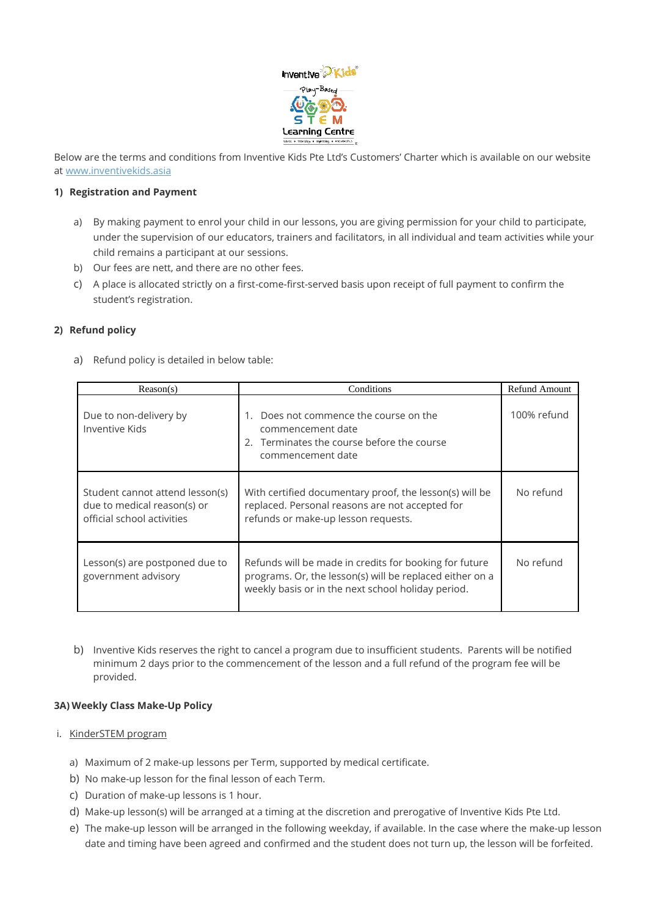

Below are the terms and conditions from Inventive Kids Pte Ltd's Customers' Charter which is available on our website at [www.inventivekids.asia](http://www.inventivekids.asia/)

#### **1) Registration and Payment**

- a) By making payment to enrol your child in our lessons, you are giving permission for your child to participate, under the supervision of our educators, trainers and facilitators, in all individual and team activities while your child remains a participant at our sessions.
- b) Our fees are nett, and there are no other fees.
- c) A place is allocated strictly on a first-come-first-served basis upon receipt of full payment to confirm the student's registration.

### **2) Refund policy**

a) Refund policy is detailed in below table:

| Reason(s)                                                                                    | Conditions                                                                                                                                                               | Refund Amount |
|----------------------------------------------------------------------------------------------|--------------------------------------------------------------------------------------------------------------------------------------------------------------------------|---------------|
| Due to non-delivery by<br>Inventive Kids                                                     | Does not commence the course on the<br>commencement date<br>2. Terminates the course before the course<br>commencement date                                              | 100% refund   |
| Student cannot attend lesson(s)<br>due to medical reason(s) or<br>official school activities | With certified documentary proof, the lesson(s) will be<br>replaced. Personal reasons are not accepted for<br>refunds or make-up lesson requests.                        | No refund     |
| Lesson(s) are postponed due to<br>government advisory                                        | Refunds will be made in credits for booking for future<br>programs. Or, the lesson(s) will be replaced either on a<br>weekly basis or in the next school holiday period. | No refund     |

b) Inventive Kids reserves the right to cancel a program due to insufficient students. Parents will be notified minimum 2 days prior to the commencement of the lesson and a full refund of the program fee will be provided.

### **3A) Weekly Class Make-Up Policy**

- i. KinderSTEM program
	- a) Maximum of 2 make-up lessons per Term, supported by medical certificate.
	- b) No make-up lesson for the final lesson of each Term.
	- c) Duration of make-up lessons is 1 hour.
	- d) Make-up lesson(s) will be arranged at a timing at the discretion and prerogative of Inventive Kids Pte Ltd.
	- e) The make-up lesson will be arranged in the following weekday, if available. In the case where the make-up lesson date and timing have been agreed and confirmed and the student does not turn up, the lesson will be forfeited.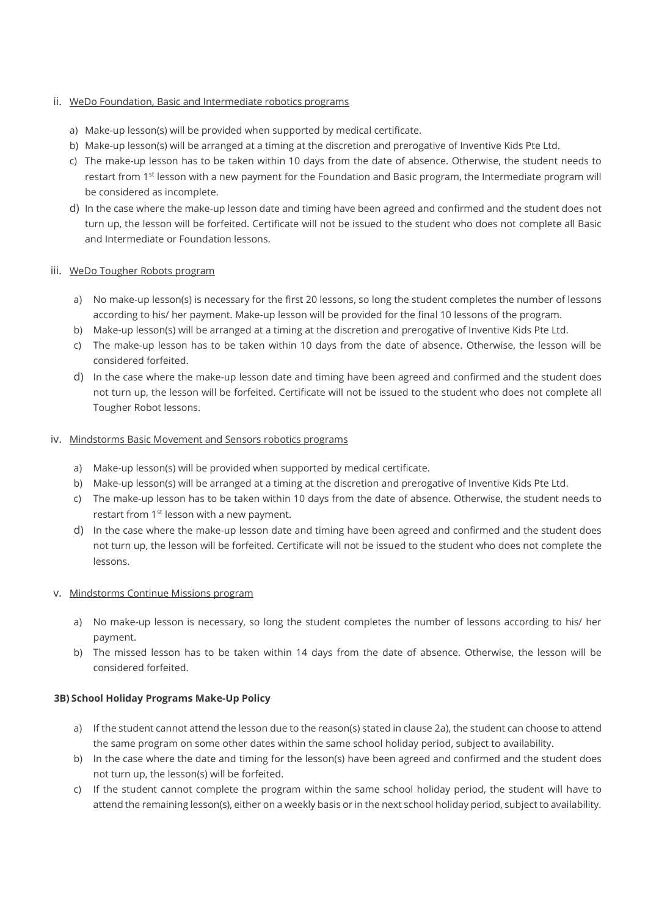### ii. WeDo Foundation, Basic and Intermediate robotics programs

- a) Make-up lesson(s) will be provided when supported by medical certificate.
- b) Make-up lesson(s) will be arranged at a timing at the discretion and prerogative of Inventive Kids Pte Ltd.
- c) The make-up lesson has to be taken within 10 days from the date of absence. Otherwise, the student needs to restart from 1st lesson with a new payment for the Foundation and Basic program, the Intermediate program will be considered as incomplete.
- d) In the case where the make-up lesson date and timing have been agreed and confirmed and the student does not turn up, the lesson will be forfeited. Certificate will not be issued to the student who does not complete all Basic and Intermediate or Foundation lessons.

### iii. WeDo Tougher Robots program

- a) No make-up lesson(s) is necessary for the first 20 lessons, so long the student completes the number of lessons according to his/ her payment. Make-up lesson will be provided for the final 10 lessons of the program.
- b) Make-up lesson(s) will be arranged at a timing at the discretion and prerogative of Inventive Kids Pte Ltd.
- c) The make-up lesson has to be taken within 10 days from the date of absence. Otherwise, the lesson will be considered forfeited.
- d) In the case where the make-up lesson date and timing have been agreed and confirmed and the student does not turn up, the lesson will be forfeited. Certificate will not be issued to the student who does not complete all Tougher Robot lessons.

### iv. Mindstorms Basic Movement and Sensors robotics programs

- a) Make-up lesson(s) will be provided when supported by medical certificate.
- b) Make-up lesson(s) will be arranged at a timing at the discretion and prerogative of Inventive Kids Pte Ltd.
- c) The make-up lesson has to be taken within 10 days from the date of absence. Otherwise, the student needs to restart from 1<sup>st</sup> lesson with a new payment.
- d) In the case where the make-up lesson date and timing have been agreed and confirmed and the student does not turn up, the lesson will be forfeited. Certificate will not be issued to the student who does not complete the lessons.

## v. Mindstorms Continue Missions program

- a) No make-up lesson is necessary, so long the student completes the number of lessons according to his/ her payment.
- b) The missed lesson has to be taken within 14 days from the date of absence. Otherwise, the lesson will be considered forfeited.

### **3B) School Holiday Programs Make-Up Policy**

- a) If the student cannot attend the lesson due to the reason(s) stated in clause 2a), the student can choose to attend the same program on some other dates within the same school holiday period, subject to availability.
- b) In the case where the date and timing for the lesson(s) have been agreed and confirmed and the student does not turn up, the lesson(s) will be forfeited.
- c) If the student cannot complete the program within the same school holiday period, the student will have to attend the remaining lesson(s), either on a weekly basis or in the next school holiday period, subject to availability.